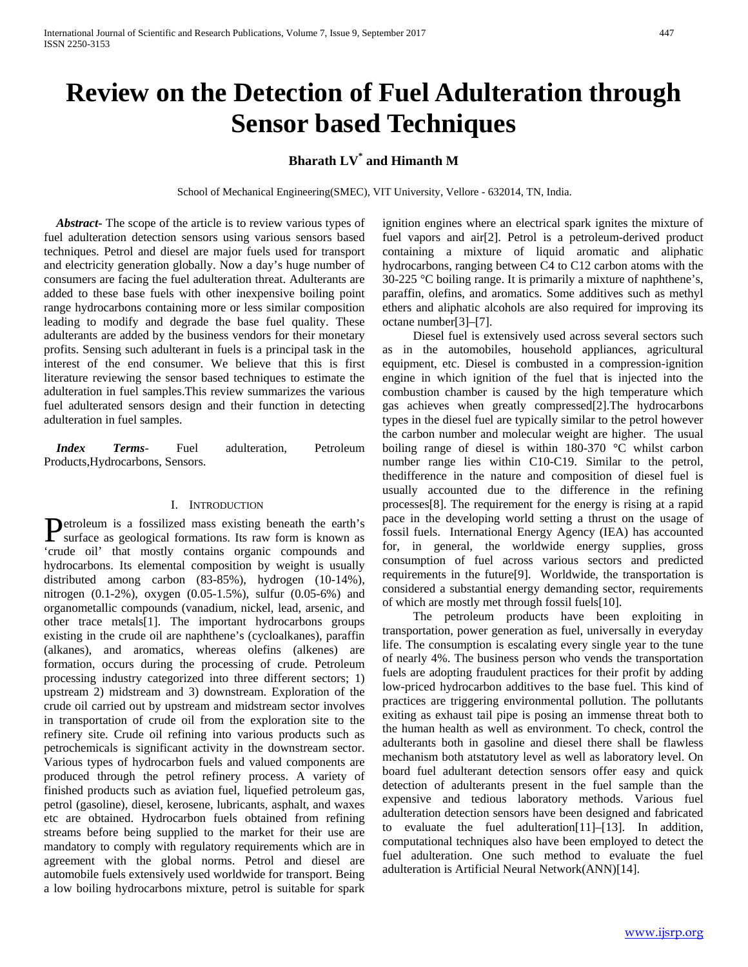# **Review on the Detection of Fuel Adulteration through Sensor based Techniques**

## **Bharath LV\* and Himanth M**

School of Mechanical Engineering(SMEC), VIT University, Vellore - 632014, TN, India.

 *Abstract***-** The scope of the article is to review various types of fuel adulteration detection sensors using various sensors based techniques. Petrol and diesel are major fuels used for transport and electricity generation globally. Now a day's huge number of consumers are facing the fuel adulteration threat. Adulterants are added to these base fuels with other inexpensive boiling point range hydrocarbons containing more or less similar composition leading to modify and degrade the base fuel quality. These adulterants are added by the business vendors for their monetary profits. Sensing such adulterant in fuels is a principal task in the interest of the end consumer. We believe that this is first literature reviewing the sensor based techniques to estimate the adulteration in fuel samples.This review summarizes the various fuel adulterated sensors design and their function in detecting adulteration in fuel samples.

 *Index Terms*- Fuel adulteration, Petroleum Products,Hydrocarbons, Sensors.

#### I. INTRODUCTION

etroleum is a fossilized mass existing beneath the earth's **P**etroleum is a fossilized mass existing beneath the earth's surface as geological formations. Its raw form is known as 'crude oil' that mostly contains organic compounds and hydrocarbons. Its elemental composition by weight is usually distributed among carbon (83-85%), hydrogen (10-14%), nitrogen (0.1-2%), oxygen (0.05-1.5%), sulfur (0.05-6%) and organometallic compounds (vanadium, nickel, lead, arsenic, and other trace metals[1]. The important hydrocarbons groups existing in the crude oil are naphthene's (cycloalkanes), paraffin (alkanes), and aromatics, whereas olefins (alkenes) are formation, occurs during the processing of crude. Petroleum processing industry categorized into three different sectors; 1) upstream 2) midstream and 3) downstream. Exploration of the crude oil carried out by upstream and midstream sector involves in transportation of crude oil from the exploration site to the refinery site. Crude oil refining into various products such as petrochemicals is significant activity in the downstream sector. Various types of hydrocarbon fuels and valued components are produced through the petrol refinery process. A variety of finished products such as aviation fuel, liquefied petroleum gas, petrol (gasoline), diesel, kerosene, lubricants, asphalt, and waxes etc are obtained. Hydrocarbon fuels obtained from refining streams before being supplied to the market for their use are mandatory to comply with regulatory requirements which are in agreement with the global norms. Petrol and diesel are automobile fuels extensively used worldwide for transport. Being a low boiling hydrocarbons mixture, petrol is suitable for spark

ignition engines where an electrical spark ignites the mixture of fuel vapors and air[2]. Petrol is a petroleum-derived product containing a mixture of liquid aromatic and aliphatic hydrocarbons, ranging between C4 to C12 carbon atoms with the 30-225 °C boiling range. It is primarily a mixture of naphthene's, paraffin, olefins, and aromatics. Some additives such as methyl ethers and aliphatic alcohols are also required for improving its octane number[3]–[7].

 Diesel fuel is extensively used across several sectors such as in the automobiles, household appliances, agricultural equipment, etc. Diesel is combusted in a compression-ignition engine in which ignition of the fuel that is injected into the combustion chamber is caused by the high temperature which gas achieves when greatly compressed[2].The hydrocarbons types in the diesel fuel are typically similar to the petrol however the carbon number and molecular weight are higher. The usual boiling range of diesel is within 180-370 °C whilst carbon number range lies within C10-C19. Similar to the petrol, thedifference in the nature and composition of diesel fuel is usually accounted due to the difference in the refining processes[8]. The requirement for the energy is rising at a rapid pace in the developing world setting a thrust on the usage of fossil fuels. International Energy Agency (IEA) has accounted for, in general, the worldwide energy supplies, gross consumption of fuel across various sectors and predicted requirements in the future[9]. Worldwide, the transportation is considered a substantial energy demanding sector, requirements of which are mostly met through fossil fuels[10].

 The petroleum products have been exploiting in transportation, power generation as fuel, universally in everyday life. The consumption is escalating every single year to the tune of nearly 4%. The business person who vends the transportation fuels are adopting fraudulent practices for their profit by adding low-priced hydrocarbon additives to the base fuel. This kind of practices are triggering environmental pollution. The pollutants exiting as exhaust tail pipe is posing an immense threat both to the human health as well as environment. To check, control the adulterants both in gasoline and diesel there shall be flawless mechanism both atstatutory level as well as laboratory level. On board fuel adulterant detection sensors offer easy and quick detection of adulterants present in the fuel sample than the expensive and tedious laboratory methods. Various fuel adulteration detection sensors have been designed and fabricated to evaluate the fuel adulteration[11]–[13]. In addition, computational techniques also have been employed to detect the fuel adulteration. One such method to evaluate the fuel adulteration is Artificial Neural Network(ANN)[14].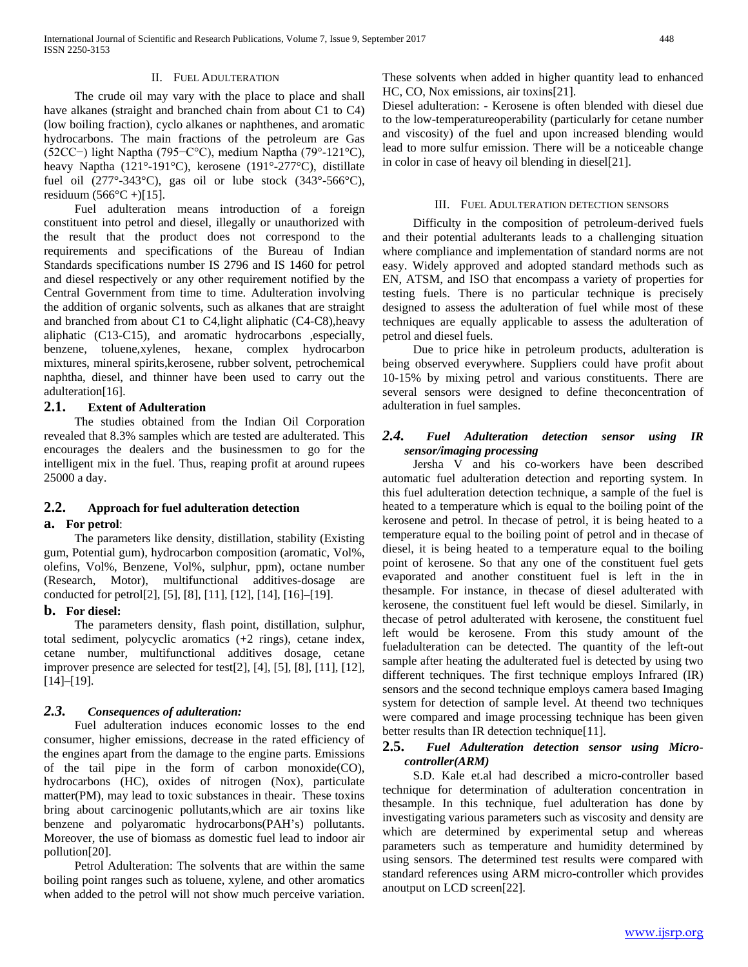The crude oil may vary with the place to place and shall have alkanes (straight and branched chain from about C1 to C4) (low boiling fraction), cyclo alkanes or naphthenes, and aromatic hydrocarbons. The main fractions of the petroleum are Gas (52CC−) light Naptha (795−C°C), medium Naptha (79°-121°C), heavy Naptha (121°-191°C), kerosene (191°-277°C), distillate fuel oil (277°-343°C), gas oil or lube stock (343°-566°C), residuum  $(566^{\circ}C + )[15]$ .

 Fuel adulteration means introduction of a foreign constituent into petrol and diesel, illegally or unauthorized with the result that the product does not correspond to the requirements and specifications of the Bureau of Indian Standards specifications number IS 2796 and IS 1460 for petrol and diesel respectively or any other requirement notified by the Central Government from time to time. Adulteration involving the addition of organic solvents, such as alkanes that are straight and branched from about C1 to C4,light aliphatic (C4-C8),heavy aliphatic (C13-C15), and aromatic hydrocarbons ,especially, benzene, toluene,xylenes, hexane, complex hydrocarbon mixtures, mineral spirits,kerosene, rubber solvent, petrochemical naphtha, diesel, and thinner have been used to carry out the adulteration[16].

#### **2.1. Extent of Adulteration**

 The studies obtained from the Indian Oil Corporation revealed that 8.3% samples which are tested are adulterated. This encourages the dealers and the businessmen to go for the intelligent mix in the fuel. Thus, reaping profit at around rupees 25000 a day.

#### **2.2. Approach for fuel adulteration detection**

#### **a. For petrol**:

 The parameters like density, distillation, stability (Existing gum, Potential gum), hydrocarbon composition (aromatic, Vol%, olefins, Vol%, Benzene, Vol%, sulphur, ppm), octane number (Research, Motor), multifunctional additives-dosage are conducted for petrol[2], [5], [8], [11], [12], [14], [16]–[19].

#### **b. For diesel:**

 The parameters density, flash point, distillation, sulphur, total sediment, polycyclic aromatics (+2 rings), cetane index, cetane number, multifunctional additives dosage, cetane improver presence are selected for test[2], [4], [5], [8], [11], [12], [14]–[19].

#### *2.3. Consequences of adulteration:*

 Fuel adulteration induces economic losses to the end consumer, higher emissions, decrease in the rated efficiency of the engines apart from the damage to the engine parts. Emissions of the tail pipe in the form of carbon monoxide(CO), hydrocarbons (HC), oxides of nitrogen (Nox), particulate matter(PM), may lead to toxic substances in theair. These toxins bring about carcinogenic pollutants,which are air toxins like benzene and polyaromatic hydrocarbons(PAH's) pollutants. Moreover, the use of biomass as domestic fuel lead to indoor air pollution[20].

 Petrol Adulteration: The solvents that are within the same boiling point ranges such as toluene, xylene, and other aromatics when added to the petrol will not show much perceive variation.

These solvents when added in higher quantity lead to enhanced HC, CO, Nox emissions, air toxins[21].

Diesel adulteration: - Kerosene is often blended with diesel due to the low-temperatureoperability (particularly for cetane number and viscosity) of the fuel and upon increased blending would lead to more sulfur emission. There will be a noticeable change in color in case of heavy oil blending in diesel[21].

#### III. FUEL ADULTERATION DETECTION SENSORS

 Difficulty in the composition of petroleum-derived fuels and their potential adulterants leads to a challenging situation where compliance and implementation of standard norms are not easy. Widely approved and adopted standard methods such as EN, ATSM, and ISO that encompass a variety of properties for testing fuels. There is no particular technique is precisely designed to assess the adulteration of fuel while most of these techniques are equally applicable to assess the adulteration of petrol and diesel fuels.

 Due to price hike in petroleum products, adulteration is being observed everywhere. Suppliers could have profit about 10-15% by mixing petrol and various constituents. There are several sensors were designed to define theconcentration of adulteration in fuel samples.

## *2.4. Fuel Adulteration detection sensor using IR sensor/imaging processing*

 Jersha V and his co-workers have been described automatic fuel adulteration detection and reporting system. In this fuel adulteration detection technique, a sample of the fuel is heated to a temperature which is equal to the boiling point of the kerosene and petrol. In thecase of petrol, it is being heated to a temperature equal to the boiling point of petrol and in thecase of diesel, it is being heated to a temperature equal to the boiling point of kerosene. So that any one of the constituent fuel gets evaporated and another constituent fuel is left in the in thesample. For instance, in thecase of diesel adulterated with kerosene, the constituent fuel left would be diesel. Similarly, in thecase of petrol adulterated with kerosene, the constituent fuel left would be kerosene. From this study amount of the fueladulteration can be detected. The quantity of the left-out sample after heating the adulterated fuel is detected by using two different techniques. The first technique employs Infrared (IR) sensors and the second technique employs camera based Imaging system for detection of sample level. At theend two techniques were compared and image processing technique has been given better results than IR detection technique[11].

#### **2.5.** *Fuel Adulteration detection sensor using Microcontroller(ARM)*

 S.D. Kale et.al had described a micro-controller based technique for determination of adulteration concentration in thesample. In this technique, fuel adulteration has done by investigating various parameters such as viscosity and density are which are determined by experimental setup and whereas parameters such as temperature and humidity determined by using sensors. The determined test results were compared with standard references using ARM micro-controller which provides anoutput on LCD screen[22].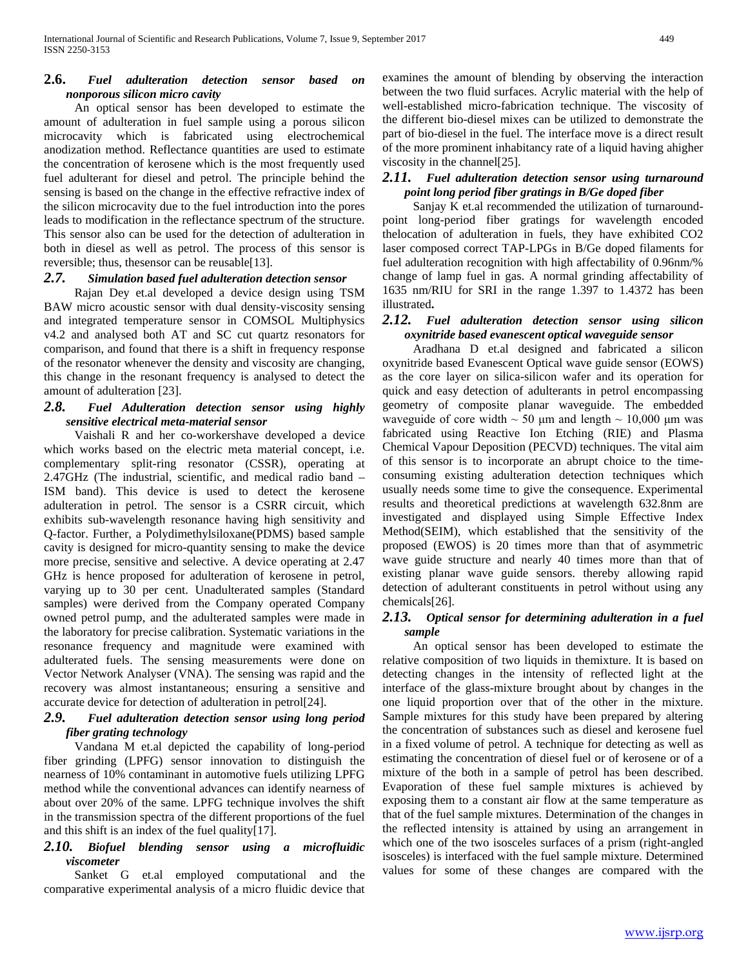## **2.6.** *Fuel adulteration detection sensor based on nonporous silicon micro cavity*

 An optical sensor has been developed to estimate the amount of adulteration in fuel sample using a porous silicon microcavity which is fabricated using electrochemical anodization method. Reflectance quantities are used to estimate the concentration of kerosene which is the most frequently used fuel adulterant for diesel and petrol. The principle behind the sensing is based on the change in the effective refractive index of the silicon microcavity due to the fuel introduction into the pores leads to modification in the reflectance spectrum of the structure. This sensor also can be used for the detection of adulteration in both in diesel as well as petrol. The process of this sensor is reversible; thus, thesensor can be reusable[13].

#### *2.7. Simulation based fuel adulteration detection sensor*

 Rajan Dey et.al developed a device design using TSM BAW micro acoustic sensor with dual density-viscosity sensing and integrated temperature sensor in COMSOL Multiphysics v4.2 and analysed both AT and SC cut quartz resonators for comparison, and found that there is a shift in frequency response of the resonator whenever the density and viscosity are changing, this change in the resonant frequency is analysed to detect the amount of adulteration [23].

#### *2.8. Fuel Adulteration detection sensor using highly sensitive electrical meta-material sensor*

 Vaishali R and her co-workershave developed a device which works based on the electric meta material concept, i.e. complementary split-ring resonator (CSSR), operating at 2.47GHz (The industrial, scientific, and medical radio band – ISM band). This device is used to detect the kerosene adulteration in petrol. The sensor is a CSRR circuit, which exhibits sub-wavelength resonance having high sensitivity and Q-factor. Further, a Polydimethylsiloxane(PDMS) based sample cavity is designed for micro-quantity sensing to make the device more precise, sensitive and selective. A device operating at 2.47 GHz is hence proposed for adulteration of kerosene in petrol, varying up to 30 per cent. Unadulterated samples (Standard samples) were derived from the Company operated Company owned petrol pump, and the adulterated samples were made in the laboratory for precise calibration. Systematic variations in the resonance frequency and magnitude were examined with adulterated fuels. The sensing measurements were done on Vector Network Analyser (VNA). The sensing was rapid and the recovery was almost instantaneous; ensuring a sensitive and accurate device for detection of adulteration in petrol[24].

## *2.9. Fuel adulteration detection sensor using long period fiber grating technology*

 Vandana M et.al depicted the capability of long-period fiber grinding (LPFG) sensor innovation to distinguish the nearness of 10% contaminant in automotive fuels utilizing LPFG method while the conventional advances can identify nearness of about over 20% of the same. LPFG technique involves the shift in the transmission spectra of the different proportions of the fuel and this shift is an index of the fuel quality[17].

## *2.10. Biofuel blending sensor using a microfluidic viscometer*

 Sanket G et.al employed computational and the comparative experimental analysis of a micro fluidic device that examines the amount of blending by observing the interaction between the two fluid surfaces. Acrylic material with the help of well-established micro-fabrication technique. The viscosity of the different bio-diesel mixes can be utilized to demonstrate the part of bio-diesel in the fuel. The interface move is a direct result of the more prominent inhabitancy rate of a liquid having ahigher viscosity in the channel[25].

## *2.11. Fuel adulteration detection sensor using turnaround point long period fiber gratings in B/Ge doped fiber*

 Sanjay K et.al recommended the utilization of turnaroundpoint long-period fiber gratings for wavelength encoded thelocation of adulteration in fuels, they have exhibited CO2 laser composed correct TAP-LPGs in B/Ge doped filaments for fuel adulteration recognition with high affectability of 0.96nm/% change of lamp fuel in gas. A normal grinding affectability of 1635 nm/RIU for SRI in the range 1.397 to 1.4372 has been illustrated**.**

#### *2.12. Fuel adulteration detection sensor using silicon oxynitride based evanescent optical waveguide sensor*

 Aradhana D et.al designed and fabricated a silicon oxynitride based Evanescent Optical wave guide sensor (EOWS) as the core layer on silica-silicon wafer and its operation for quick and easy detection of adulterants in petrol encompassing geometry of composite planar waveguide. The embedded waveguide of core width  $\sim 50$  μm and length  $\sim 10,000$  μm was fabricated using Reactive Ion Etching (RIE) and Plasma Chemical Vapour Deposition (PECVD) techniques. The vital aim of this sensor is to incorporate an abrupt choice to the timeconsuming existing adulteration detection techniques which usually needs some time to give the consequence. Experimental results and theoretical predictions at wavelength 632.8nm are investigated and displayed using Simple Effective Index Method(SEIM), which established that the sensitivity of the proposed (EWOS) is 20 times more than that of asymmetric wave guide structure and nearly 40 times more than that of existing planar wave guide sensors. thereby allowing rapid detection of adulterant constituents in petrol without using any chemicals[26].

## *2.13. Optical sensor for determining adulteration in a fuel sample*

 An optical sensor has been developed to estimate the relative composition of two liquids in themixture. It is based on detecting changes in the intensity of reflected light at the interface of the glass-mixture brought about by changes in the one liquid proportion over that of the other in the mixture. Sample mixtures for this study have been prepared by altering the concentration of substances such as diesel and kerosene fuel in a fixed volume of petrol. A technique for detecting as well as estimating the concentration of diesel fuel or of kerosene or of a mixture of the both in a sample of petrol has been described. Evaporation of these fuel sample mixtures is achieved by exposing them to a constant air flow at the same temperature as that of the fuel sample mixtures. Determination of the changes in the reflected intensity is attained by using an arrangement in which one of the two isosceles surfaces of a prism (right-angled isosceles) is interfaced with the fuel sample mixture. Determined values for some of these changes are compared with the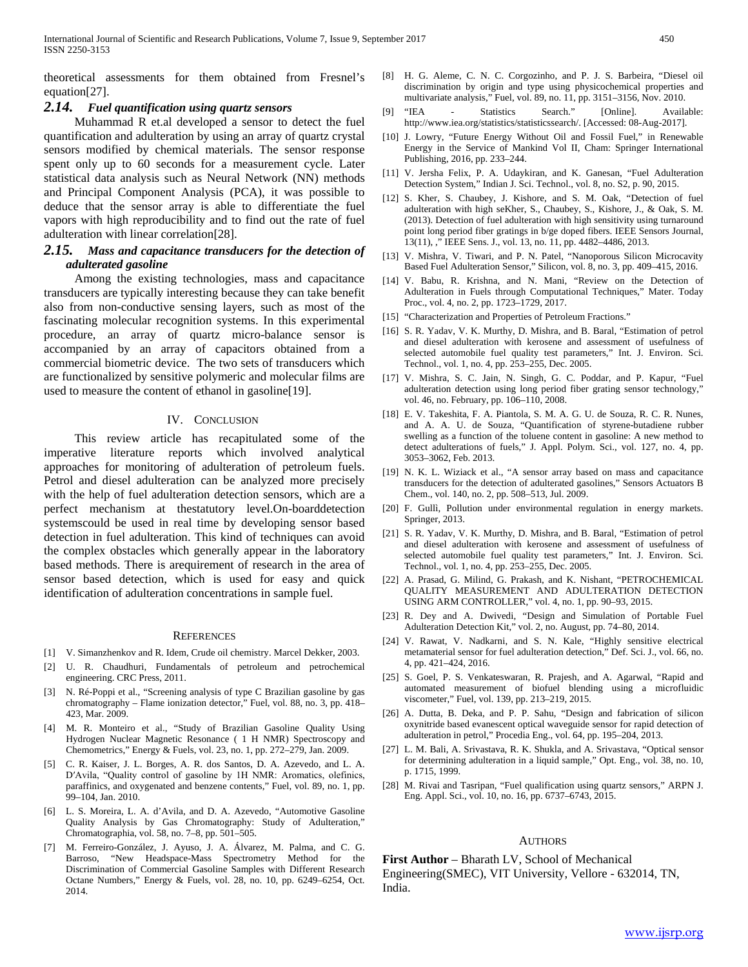theoretical assessments for them obtained from Fresnel's equation[27].

#### *2.14. Fuel quantification using quartz sensors*

 Muhammad R et.al developed a sensor to detect the fuel quantification and adulteration by using an array of quartz crystal sensors modified by chemical materials. The sensor response spent only up to 60 seconds for a measurement cycle. Later statistical data analysis such as Neural Network (NN) methods and Principal Component Analysis (PCA), it was possible to deduce that the sensor array is able to differentiate the fuel vapors with high reproducibility and to find out the rate of fuel adulteration with linear correlation[28].

## *2.15. Mass and capacitance transducers for the detection of adulterated gasoline*

 Among the existing technologies, mass and capacitance transducers are typically interesting because they can take benefit also from non-conductive sensing layers, such as most of the fascinating molecular recognition systems. In this experimental procedure, an array of quartz micro-balance sensor is accompanied by an array of capacitors obtained from a commercial biometric device. The two sets of transducers which are functionalized by sensitive polymeric and molecular films are used to measure the content of ethanol in gasoline[19].

#### IV. CONCLUSION

 This review article has recapitulated some of the imperative literature reports which involved analytical approaches for monitoring of adulteration of petroleum fuels. Petrol and diesel adulteration can be analyzed more precisely with the help of fuel adulteration detection sensors, which are a perfect mechanism at thestatutory level.On-boarddetection systemscould be used in real time by developing sensor based detection in fuel adulteration. This kind of techniques can avoid the complex obstacles which generally appear in the laboratory based methods. There is arequirement of research in the area of sensor based detection, which is used for easy and quick identification of adulteration concentrations in sample fuel.

#### **REFERENCES**

- [1] V. Simanzhenkov and R. Idem, Crude oil chemistry. Marcel Dekker, 2003.
- [2] U. R. Chaudhuri, Fundamentals of petroleum and petrochemical engineering. CRC Press, 2011.
- [3] N. Ré-Poppi et al., "Screening analysis of type C Brazilian gasoline by gas chromatography – Flame ionization detector," Fuel, vol. 88, no. 3, pp. 418– 423, Mar. 2009.
- [4] M. R. Monteiro et al., "Study of Brazilian Gasoline Quality Using Hydrogen Nuclear Magnetic Resonance ( 1 H NMR) Spectroscopy and Chemometrics," Energy & Fuels, vol. 23, no. 1, pp. 272–279, Jan. 2009.
- [5] C. R. Kaiser, J. L. Borges, A. R. dos Santos, D. A. Azevedo, and L. A. D′Avila, "Quality control of gasoline by 1H NMR: Aromatics, olefinics, paraffinics, and oxygenated and benzene contents," Fuel, vol. 89, no. 1, pp. 99–104, Jan. 2010.
- [6] L. S. Moreira, L. A. d'Avila, and D. A. Azevedo, "Automotive Gasoline Quality Analysis by Gas Chromatography: Study of Adulteration," Chromatographia, vol. 58, no. 7–8, pp. 501–505.
- [7] M. Ferreiro-González, J. Ayuso, J. A. Álvarez, M. Palma, and C. G. Barroso, "New Headspace-Mass Spectrometry Method for the Discrimination of Commercial Gasoline Samples with Different Research Octane Numbers," Energy & Fuels, vol. 28, no. 10, pp. 6249–6254, Oct. 2014.
- [8] H. G. Aleme, C. N. C. Corgozinho, and P. J. S. Barbeira, "Diesel oil discrimination by origin and type using physicochemical properties and multivariate analysis," Fuel, vol. 89, no. 11, pp. 3151–3156, Nov. 2010.
- [9] "IEA Statistics Search." [Online]. Available: http://www.iea.org/statistics/statisticssearch/. [Accessed: 08-Aug-2017].
- [10] J. Lowry, "Future Energy Without Oil and Fossil Fuel," in Renewable Energy in the Service of Mankind Vol II, Cham: Springer International Publishing, 2016, pp. 233–244.
- [11] V. Jersha Felix, P. A. Udaykiran, and K. Ganesan, "Fuel Adulteration Detection System," Indian J. Sci. Technol., vol. 8, no. S2, p. 90, 2015.
- [12] S. Kher, S. Chaubey, J. Kishore, and S. M. Oak, "Detection of fuel adulteration with high seKher, S., Chaubey, S., Kishore, J., & Oak, S. M. (2013). Detection of fuel adulteration with high sensitivity using turnaround point long period fiber gratings in b/ge doped fibers. IEEE Sensors Journal, 13(11), ," IEEE Sens. J., vol. 13, no. 11, pp. 4482–4486, 2013.
- [13] V. Mishra, V. Tiwari, and P. N. Patel, "Nanoporous Silicon Microcavity Based Fuel Adulteration Sensor," Silicon, vol. 8, no. 3, pp. 409–415, 2016.
- [14] V. Babu, R. Krishna, and N. Mani, "Review on the Detection of Adulteration in Fuels through Computational Techniques," Mater. Today Proc., vol. 4, no. 2, pp. 1723–1729, 2017.
- [15] "Characterization and Properties of Petroleum Fractions."
- [16] S. R. Yadav, V. K. Murthy, D. Mishra, and B. Baral, "Estimation of petrol and diesel adulteration with kerosene and assessment of usefulness of selected automobile fuel quality test parameters," Int. J. Environ. Sci. Technol., vol. 1, no. 4, pp. 253–255, Dec. 2005.
- [17] V. Mishra, S. C. Jain, N. Singh, G. C. Poddar, and P. Kapur, "Fuel adulteration detection using long period fiber grating sensor technology," vol. 46, no. February, pp. 106–110, 2008.
- [18] E. V. Takeshita, F. A. Piantola, S. M. A. G. U. de Souza, R. C. R. Nunes, and A. A. U. de Souza, "Quantification of styrene-butadiene rubber swelling as a function of the toluene content in gasoline: A new method to detect adulterations of fuels," J. Appl. Polym. Sci., vol. 127, no. 4, pp. 3053–3062, Feb. 2013.
- [19] N. K. L. Wiziack et al., "A sensor array based on mass and capacitance transducers for the detection of adulterated gasolines," Sensors Actuators B Chem., vol. 140, no. 2, pp. 508–513, Jul. 2009.
- [20] F. Gullì, Pollution under environmental regulation in energy markets. Springer, 2013.
- [21] S. R. Yadav, V. K. Murthy, D. Mishra, and B. Baral, "Estimation of petrol and diesel adulteration with kerosene and assessment of usefulness of selected automobile fuel quality test parameters," Int. J. Environ. Sci. Technol., vol. 1, no. 4, pp. 253–255, Dec. 2005.
- [22] A. Prasad, G. Milind, G. Prakash, and K. Nishant, "PETROCHEMICAL QUALITY MEASUREMENT AND ADULTERATION DETECTION USING ARM CONTROLLER," vol. 4, no. 1, pp. 90–93, 2015.
- [23] R. Dey and A. Dwivedi, "Design and Simulation of Portable Fuel Adulteration Detection Kit," vol. 2, no. August, pp. 74–80, 2014.
- [24] V. Rawat, V. Nadkarni, and S. N. Kale, "Highly sensitive electrical metamaterial sensor for fuel adulteration detection," Def. Sci. J., vol. 66, no. 4, pp. 421–424, 2016.
- [25] S. Goel, P. S. Venkateswaran, R. Prajesh, and A. Agarwal, "Rapid and automated measurement of biofuel blending using a microfluidic viscometer," Fuel, vol. 139, pp. 213–219, 2015.
- [26] A. Dutta, B. Deka, and P. P. Sahu, "Design and fabrication of silicon oxynitride based evanescent optical waveguide sensor for rapid detection of adulteration in petrol," Procedia Eng., vol. 64, pp. 195–204, 2013.
- [27] L. M. Bali, A. Srivastava, R. K. Shukla, and A. Srivastava, "Optical sensor for determining adulteration in a liquid sample," Opt. Eng., vol. 38, no. 10, p. 1715, 1999.
- [28] M. Rivai and Tasripan, "Fuel qualification using quartz sensors," ARPN J. Eng. Appl. Sci., vol. 10, no. 16, pp. 6737–6743, 2015.

#### AUTHORS

**First Author** – Bharath LV, School of Mechanical Engineering(SMEC), VIT University, Vellore - 632014, TN, India.